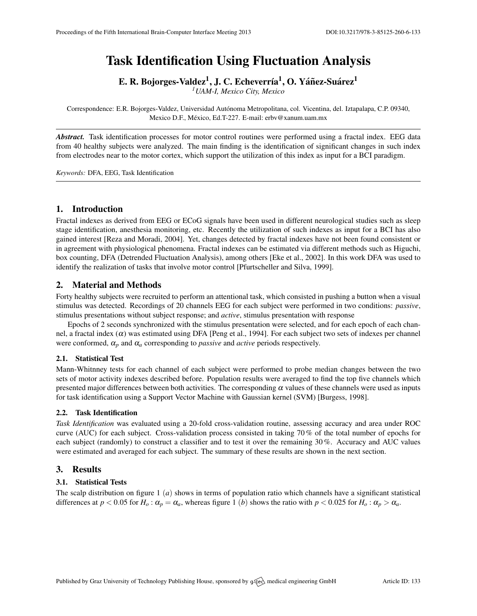# Task Identification Using Fluctuation Analysis

E. R. Bojorges-Valdez $^1$ , J. C. Echeverría $^1,$  O. Yáñez-Suárez $^1$ 

*<sup>1</sup>UAM-I, Mexico City, Mexico*

Correspondence: E.R. Bojorges-Valdez, Universidad Autónoma Metropolitana, col. Vicentina, del. Iztapalapa, C.P. 09340, Mexico D.F., México, Ed.T-227. E-mail: [erbv@xanum.uam.mx](mailto:erbv@xanum.uam.mx)

*Abstract.* Task identification processes for motor control routines were performed using a fractal index. EEG data from 40 healthy subjects were analyzed. The main finding is the identification of significant changes in such index from electrodes near to the motor cortex, which support the utilization of this index as input for a BCI paradigm.

*Keywords:* DFA, EEG, Task Identification

# 1. Introduction

Fractal indexes as derived from EEG or ECoG signals have been used in different neurological studies such as sleep stage identification, anesthesia monitoring, etc. Recently the utilization of such indexes as input for a BCI has also gained interest [\[Reza and Moradi,](#page-1-0) [2004\]](#page-1-0). Yet, changes detected by fractal indexes have not been found consistent or in agreement with physiological phenomena. Fractal indexes can be estimated via different methods such as Higuchi, box counting, DFA (Detrended Fluctuation Analysis), among others [\[Eke et al.,](#page-1-1) [2002\]](#page-1-1). In this work DFA was used to identify the realization of tasks that involve motor control [\[Pfurtscheller and Silva,](#page-1-2) [1999\]](#page-1-2).

# 2. Material and Methods

Forty healthy subjects were recruited to perform an attentional task, which consisted in pushing a button when a visual stimulus was detected. Recordings of 20 channels EEG for each subject were performed in two conditions: *passive*, stimulus presentations without subject response; and *active*, stimulus presentation with response

Epochs of 2 seconds synchronized with the stimulus presentation were selected, and for each epoch of each channel, a fractal index  $(\alpha)$  was estimated using DFA [\[Peng et al.,](#page-1-3) [1994\]](#page-1-3). For each subject two sets of indexes per channel were conformed,  $\alpha_p$  and  $\alpha_q$  corresponding to *passive* and *active* periods respectively.

# 2.1. Statistical Test

Mann-Whitnney tests for each channel of each subject were performed to probe median changes between the two sets of motor activity indexes described before. Population results were averaged to find the top five channels which presented major differences between both activities. The corresponding  $\alpha$  values of these channels were used as inputs for task identification using a Support Vector Machine with Gaussian kernel (SVM) [\[Burgess,](#page-1-4) [1998\]](#page-1-4).

### 2.2. Task Identification

*Task Identification* was evaluated using a 20-fold cross-validation routine, assessing accuracy and area under ROC curve (AUC) for each subject. Cross-validation process consisted in taking 70 % of the total number of epochs for each subject (randomly) to construct a classifier and to test it over the remaining 30 %. Accuracy and AUC values were estimated and averaged for each subject. The summary of these results are shown in the next section.

# 3. Results

### 3.1. Statistical Tests

The scalp distribution on figure [1](#page-1-5) (*a*) shows in terms of population ratio which channels have a significant statistical differences at  $p < 0.05$  for  $H_0: \alpha_p = \alpha_a$ , whereas figure [1](#page-1-5) (*b*) shows the ratio with  $p < 0.025$  for  $H_0: \alpha_p > \alpha_a$ .